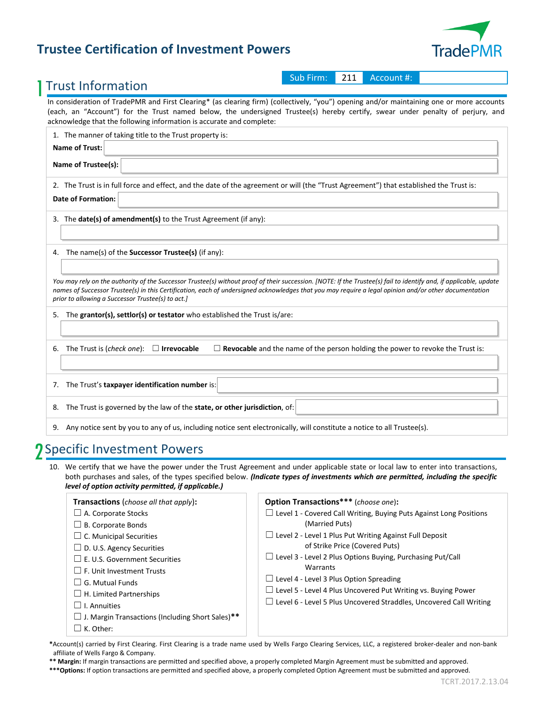## **Trustee Certification of Investment Powers**



### 1 Trust Information

Sub Firm: 211 Account #:

In consideration of TradePMR and First Clearing\* (as clearing firm) (collectively, "you") opening and/or maintaining one or more accounts (each, an "Account") for the Trust named below, the undersigned Trustee(s) hereby certify, swear under penalty of perjury, and acknowledge that the following information is accurate and complete:

| 1. The manner of taking title to the Trust property is:                                                                                                                                                                                                                                                                                                                         |
|---------------------------------------------------------------------------------------------------------------------------------------------------------------------------------------------------------------------------------------------------------------------------------------------------------------------------------------------------------------------------------|
| <b>Name of Trust:</b>                                                                                                                                                                                                                                                                                                                                                           |
| Name of Trustee(s):                                                                                                                                                                                                                                                                                                                                                             |
| 2. The Trust is in full force and effect, and the date of the agreement or will (the "Trust Agreement") that established the Trust is:<br><b>Date of Formation:</b>                                                                                                                                                                                                             |
| 3. The date(s) of amendment(s) to the Trust Agreement (if any):                                                                                                                                                                                                                                                                                                                 |
|                                                                                                                                                                                                                                                                                                                                                                                 |
| 4. The name(s) of the <b>Successor Trustee(s)</b> (if any):                                                                                                                                                                                                                                                                                                                     |
| You may rely on the authority of the Successor Trustee(s) without proof of their succession. [NOTE: If the Trustee(s) fail to identify and, if applicable, update<br>names of Successor Trustee(s) in this Certification, each of undersigned acknowledges that you may require a legal opinion and/or other documentation<br>prior to allowing a Successor Trustee(s) to act.] |
| 5. The grantor(s), settlor(s) or testator who established the Trust is/are:                                                                                                                                                                                                                                                                                                     |
|                                                                                                                                                                                                                                                                                                                                                                                 |
| $\Box$ <b>Revocable</b> and the name of the person holding the power to revoke the Trust is:<br>The Trust is (check one):<br>$\Box$ Irrevocable<br>6.                                                                                                                                                                                                                           |
|                                                                                                                                                                                                                                                                                                                                                                                 |
| The Trust's taxpayer identification number is:<br>7.                                                                                                                                                                                                                                                                                                                            |
| The Trust is governed by the law of the state, or other jurisdiction, of:<br>8.                                                                                                                                                                                                                                                                                                 |
| 9. Any notice sent by you to any of us, including notice sent electronically, will constitute a notice to all Trustee(s).                                                                                                                                                                                                                                                       |

# 2 Specific Investment Powers

10. We certify that we have the power under the Trust Agreement and under applicable state or local law to enter into transactions, both purchases and sales, of the types specified below. *(Indicate types of investments which are permitted, including the specific level of option activity permitted, if applicable.)*

| <b>Transactions</b> ( <i>choose all that apply</i> ):<br>$\Box$ A. Corporate Stocks<br>$\Box$ B. Corporate Bonds<br>$\Box$ C. Municipal Securities<br>$\Box$ D. U.S. Agency Securities<br>$\Box$ E. U.S. Government Securities<br>$\Box$ F. Unit Investment Trusts<br>$\Box$ G. Mutual Funds<br>$\Box$ H. Limited Partnerships<br>$\Box$ I. Annuities<br>$\Box$ J. Margin Transactions (Including Short Sales)**<br>$\Box$ K. Other: | <b>Option Transactions***</b> (choose one):<br>$\Box$ Level 1 - Covered Call Writing, Buying Puts Against Long Positions<br>(Married Puts)<br>$\Box$ Level 2 - Level 1 Plus Put Writing Against Full Deposit<br>of Strike Price (Covered Puts)<br>$\Box$ Level 3 - Level 2 Plus Options Buying, Purchasing Put/Call<br>Warrants<br>$\Box$ Level 4 - Level 3 Plus Option Spreading<br>$\Box$ Level 5 - Level 4 Plus Uncovered Put Writing vs. Buying Power<br>$\Box$ Level 6 - Level 5 Plus Uncovered Straddles, Uncovered Call Writing |
|--------------------------------------------------------------------------------------------------------------------------------------------------------------------------------------------------------------------------------------------------------------------------------------------------------------------------------------------------------------------------------------------------------------------------------------|----------------------------------------------------------------------------------------------------------------------------------------------------------------------------------------------------------------------------------------------------------------------------------------------------------------------------------------------------------------------------------------------------------------------------------------------------------------------------------------------------------------------------------------|
|--------------------------------------------------------------------------------------------------------------------------------------------------------------------------------------------------------------------------------------------------------------------------------------------------------------------------------------------------------------------------------------------------------------------------------------|----------------------------------------------------------------------------------------------------------------------------------------------------------------------------------------------------------------------------------------------------------------------------------------------------------------------------------------------------------------------------------------------------------------------------------------------------------------------------------------------------------------------------------------|

**\***Account(s) carried by First Clearing. First Clearing is a trade name used by Wells Fargo Clearing Services, LLC, a registered broker-dealer and non-bank affiliate of Wells Fargo & Company.

**\*\* Margin:** If margin transactions are permitted and specified above, a properly completed Margin Agreement must be submitted and approved.

**\*\*\*Options:** If option transactions are permitted and specified above, a properly completed Option Agreement must be submitted and approved.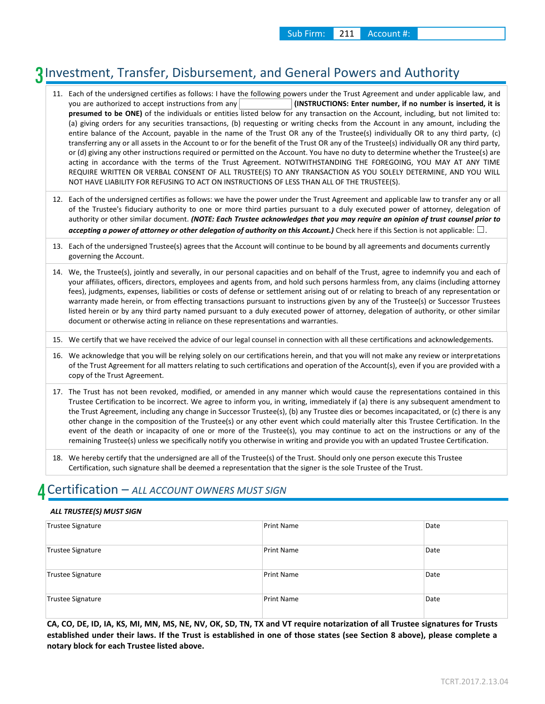# 3 Investment, Transfer, Disbursement, and General Powers and Authority

11. Each of the undersigned certifies as follows: I have the following powers under the Trust Agreement and under applicable law, and you are authorized to accept instructions from any **(INSTRUCTIONS: Enter number, if no number is inserted, it is presumed to be ONE)** of the individuals or entities listed below for any transaction on the Account, including, but not limited to: (a) giving orders for any securities transactions, (b) requesting or writing checks from the Account in any amount, including the entire balance of the Account, payable in the name of the Trust OR any of the Trustee(s) individually OR to any third party, (c) transferring any or all assets in the Account to or for the benefit of the Trust OR any of the Trustee(s) individually OR any third party, or (d) giving any other instructions required or permitted on the Account. You have no duty to determine whether the Trustee(s) are acting in accordance with the terms of the Trust Agreement. NOTWITHSTANDING THE FOREGOING, YOU MAY AT ANY TIME REQUIRE WRITTEN OR VERBAL CONSENT OF ALL TRUSTEE(S) TO ANY TRANSACTION AS YOU SOLELY DETERMINE, AND YOU WILL NOT HAVE LIABILITY FOR REFUSING TO ACT ON INSTRUCTIONS OF LESS THAN ALL OF THE TRUSTEE(S).

- 12. Each of the undersigned certifies as follows: we have the power under the Trust Agreement and applicable law to transfer any or all of the Trustee's fiduciary authority to one or more third parties pursuant to a duly executed power of attorney, delegation of authority or other similar document. *(NOTE: Each Trustee acknowledges that you may require an opinion of trust counsel prior to accepting a power of attorney or other delegation of authority on this Account.*) Check here if this Section is not applicable: □.
- 13. Each of the undersigned Trustee(s) agrees that the Account will continue to be bound by all agreements and documents currently governing the Account.
- 14. We, the Trustee(s), jointly and severally, in our personal capacities and on behalf of the Trust, agree to indemnify you and each of your affiliates, officers, directors, employees and agents from, and hold such persons harmless from, any claims (including attorney fees), judgments, expenses, liabilities or costs of defense or settlement arising out of or relating to breach of any representation or warranty made herein, or from effecting transactions pursuant to instructions given by any of the Trustee(s) or Successor Trustees listed herein or by any third party named pursuant to a duly executed power of attorney, delegation of authority, or other similar document or otherwise acting in reliance on these representations and warranties.
- 15. We certify that we have received the advice of our legal counsel in connection with all these certifications and acknowledgements.
- 16. We acknowledge that you will be relying solely on our certifications herein, and that you will not make any review or interpretations of the Trust Agreement for all matters relating to such certifications and operation of the Account(s), even if you are provided with a copy of the Trust Agreement.
- 17. The Trust has not been revoked, modified, or amended in any manner which would cause the representations contained in this Trustee Certification to be incorrect. We agree to inform you, in writing, immediately if (a) there is any subsequent amendment to the Trust Agreement, including any change in Successor Trustee(s), (b) any Trustee dies or becomes incapacitated, or (c) there is any other change in the composition of the Trustee(s) or any other event which could materially alter this Trustee Certification. In the event of the death or incapacity of one or more of the Trustee(s), you may continue to act on the instructions or any of the remaining Trustee(s) unless we specifically notify you otherwise in writing and provide you with an updated Trustee Certification.
- 18. We hereby certify that the undersigned are all of the Trustee(s) of the Trust. Should only one person execute this Trustee Certification, such signature shall be deemed a representation that the signer is the sole Trustee of the Trust.

### 4 Certification – *ALL ACCOUNT OWNERS MUST SIGN*

#### *ALL TRUSTEE(S) MUST SIGN*

| Trustee Signature | Print Name        | Date |
|-------------------|-------------------|------|
| Trustee Signature | <b>Print Name</b> | Date |
| Trustee Signature | <b>Print Name</b> | Date |
| Trustee Signature | <b>Print Name</b> | Date |

**CA, CO, DE, ID, IA, KS, MI, MN, MS, NE, NV, OK, SD, TN, TX and VT require notarization of all Trustee signatures for Trusts established under their laws. If the Trust is established in one of those states (see Section 8 above), please complete a notary block for each Trustee listed above.**